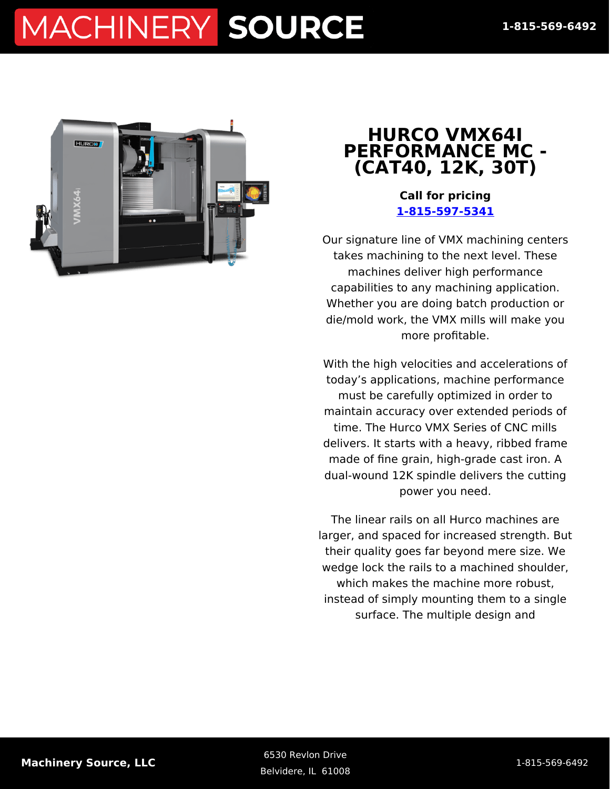

#### **HURCO VMX64I PERFORMANCE MC - (CAT40, 12K, 30T)**

**Call for pricing [1-815-597-5341](#page--1-0)**

Our signature line of VMX machining centers takes machining to the next level. These machines deliver high performance capabilities to any machining application. Whether you are doing batch production or die/mold work, the VMX mills will make you more profitable.

With the high velocities and accelerations of today's applications, machine performance must be carefully optimized in order to maintain accuracy over extended periods of time. The Hurco VMX Series of CNC mills delivers. It starts with a heavy, ribbed frame made of fine grain, high-grade cast iron. A dual-wound 12K spindle delivers the cutting power you need.

The linear rails on all Hurco machines are larger, and spaced for increased strength. But their quality goes far beyond mere size. We wedge lock the rails to a machined shoulder, which makes the machine more robust, instead of simply mounting them to a single surface. The multiple design and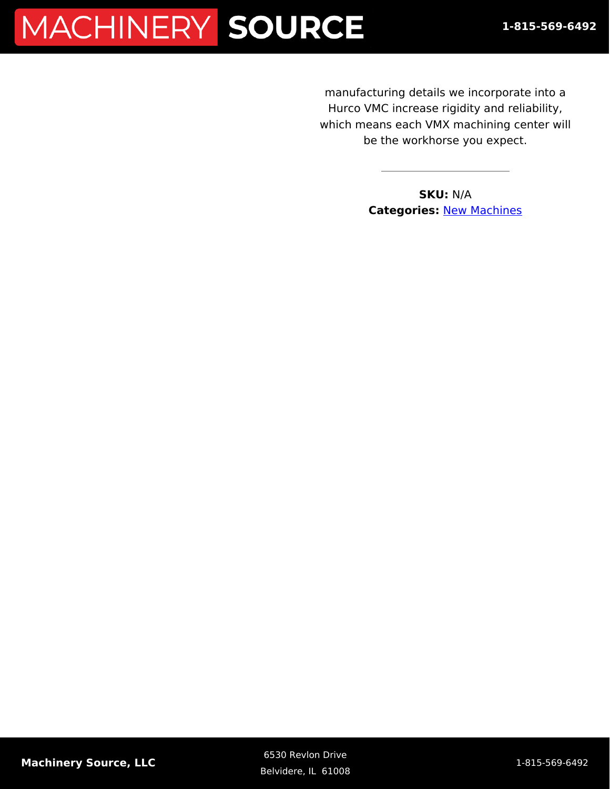manufacturing details we incorporate into a Hurco VMC increase rigidity and reliability, which means each VMX machining center will be the workhorse you expect.

> **SKU:** N/A **Categories:** [New Machines](https://machinerysource.com/product-category/machining-centers/)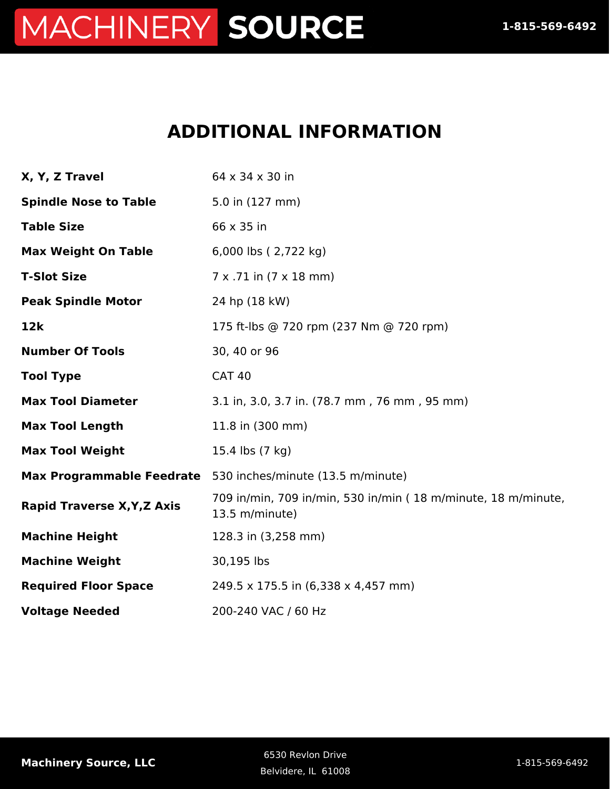#### **ADDITIONAL INFORMATION**

| X, Y, Z Travel                     | 64 x 34 x 30 in                                                                 |
|------------------------------------|---------------------------------------------------------------------------------|
| <b>Spindle Nose to Table</b>       | 5.0 in (127 mm)                                                                 |
| <b>Table Size</b>                  | 66 x 35 in                                                                      |
| <b>Max Weight On Table</b>         | 6,000 lbs (2,722 kg)                                                            |
| <b>T-Slot Size</b>                 | $7 \times .71$ in $(7 \times 18$ mm)                                            |
| <b>Peak Spindle Motor</b>          | 24 hp (18 kW)                                                                   |
| 12k                                | 175 ft-lbs @ 720 rpm (237 Nm @ 720 rpm)                                         |
| <b>Number Of Tools</b>             | 30, 40 or 96                                                                    |
| <b>Tool Type</b>                   | <b>CAT 40</b>                                                                   |
| <b>Max Tool Diameter</b>           | 3.1 in, 3.0, 3.7 in. (78.7 mm, 76 mm, 95 mm)                                    |
| <b>Max Tool Length</b>             | 11.8 in (300 mm)                                                                |
| <b>Max Tool Weight</b>             | 15.4 lbs (7 kg)                                                                 |
|                                    | Max Programmable Feedrate 530 inches/minute (13.5 m/minute)                     |
| <b>Rapid Traverse X, Y, Z Axis</b> | 709 in/min, 709 in/min, 530 in/min (18 m/minute, 18 m/minute,<br>13.5 m/minute) |
| <b>Machine Height</b>              | 128.3 in (3,258 mm)                                                             |
| <b>Machine Weight</b>              | 30,195 lbs                                                                      |
| <b>Required Floor Space</b>        | 249.5 x 175.5 in (6,338 x 4,457 mm)                                             |
| <b>Voltage Needed</b>              | 200-240 VAC / 60 Hz                                                             |